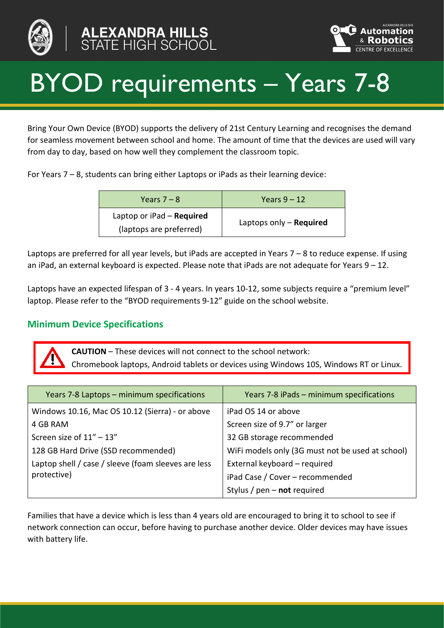



# BYOD requirements – Years 7-8

Bring Your Own Device (BYOD) supports the delivery of 21st Century Learning and recognises the demand for seamless movement between school and home. The amount of time that the devices are used will vary from day to day, based on how well they complement the classroom topic.

For Years 7 – 8, students can bring either Laptops or iPads as their learning device:

| Years $7 - 8$                                          | Years $9 - 12$            |
|--------------------------------------------------------|---------------------------|
| Laptop or $iPad - Required$<br>(laptops are preferred) | Laptops only $-$ Required |

Laptops are preferred for all year levels, but iPads are accepted in Years 7 – 8 to reduce expense. If using an iPad, an external keyboard is expected. Please note that iPads are not adequate for Years  $9 - 12$ .

Laptops have an expected lifespan of 3 - 4 years. In years 10-12, some subjects require a "premium level" laptop. Please refer to the "BYOD requirements 9-12" guide on the school website.

## **Minimum Device Specifications**

**CAUTION** – These devices will not connect to the school network: Chromebook laptops, Android tablets or devices using Windows 10S, Windows RT or Linux.

| Years 7-8 Laptops - minimum specifications          | Years 7-8 iPads - minimum specifications         |
|-----------------------------------------------------|--------------------------------------------------|
| Windows 10.16, Mac OS 10.12 (Sierra) - or above     | iPad OS 14 or above                              |
| 4 GB RAM                                            | Screen size of 9.7" or larger                    |
| Screen size of $11'' - 13''$                        | 32 GB storage recommended                        |
| 128 GB Hard Drive (SSD recommended)                 | WiFi models only (3G must not be used at school) |
| Laptop shell / case / sleeve (foam sleeves are less | External keyboard - required                     |
| protective)                                         | iPad Case / Cover - recommended                  |
|                                                     | Stylus / $pen - not required$                    |

Families that have a device which is less than 4 years old are encouraged to bring it to school to see if network connection can occur, before having to purchase another device. Older devices may have issues with battery life.